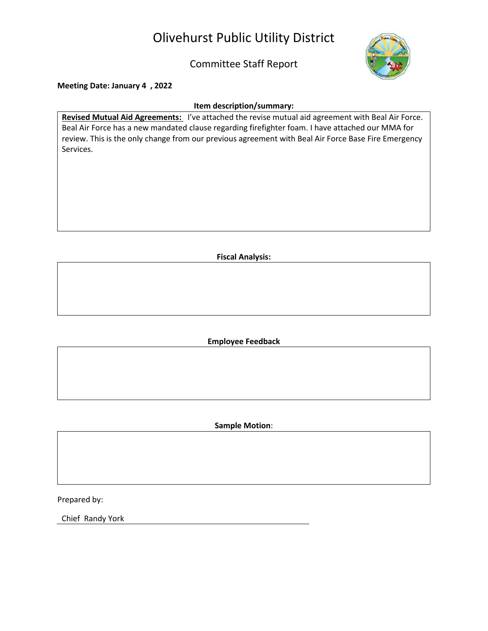# Olivehurst Public Utility District

### Committee Staff Report



**Meeting Date: January 4 , 2022**

#### **Item description/summary:**

**Revised Mutual Aid Agreements:** I've attached the revise mutual aid agreement with Beal Air Force. Beal Air Force has a new mandated clause regarding firefighter foam. I have attached our MMA for review. This is the only change from our previous agreement with Beal Air Force Base Fire Emergency Services.

**Fiscal Analysis:**

**Employee Feedback**

**Sample Motion**:

Prepared by:

Chief Randy York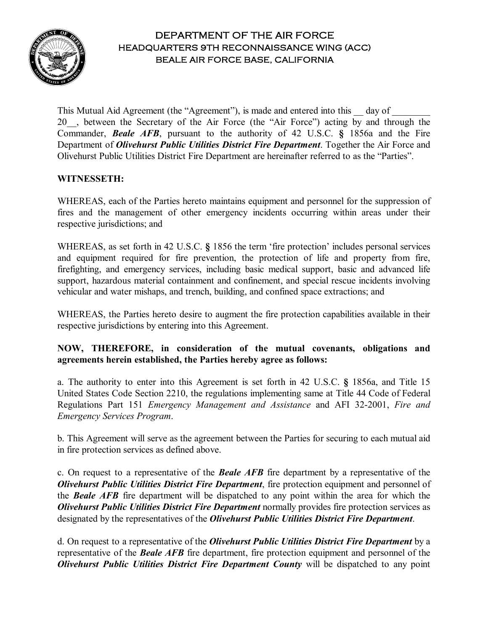

### DEPARTMENT OF THE AIR FORCE HEADQUARTERS 9TH RECONNAISSANCE WING (ACC) BEALE AIR FORCE BASE, CALIFORNIA

This Mutual Aid Agreement (the "Agreement"), is made and entered into this \_\_\_\_\_ day of 20. , between the Secretary of the Air Force (the "Air Force") acting by and through the Commander, *Beale AFB*, pursuant to the authority of 42 U.S.C. **§** 1856a and the Fire Department of *Olivehurst Public Utilities District Fire Department*. Together the Air Force and Olivehurst Public Utilities District Fire Department are hereinafter referred to as the "Parties".

#### **WITNESSETH:**

WHEREAS, each of the Parties hereto maintains equipment and personnel for the suppression of fires and the management of other emergency incidents occurring within areas under their respective jurisdictions; and

WHEREAS, as set forth in 42 U.S.C. **§** 1856 the term 'fire protection' includes personal services and equipment required for fire prevention, the protection of life and property from fire, firefighting, and emergency services, including basic medical support, basic and advanced life support, hazardous material containment and confinement, and special rescue incidents involving vehicular and water mishaps, and trench, building, and confined space extractions; and

WHEREAS, the Parties hereto desire to augment the fire protection capabilities available in their respective jurisdictions by entering into this Agreement.

#### **NOW, THEREFORE, in consideration of the mutual covenants, obligations and agreements herein established, the Parties hereby agree as follows:**

a. The authority to enter into this Agreement is set forth in 42 U.S.C. **§** 1856a, and Title 15 United States Code Section 2210, the regulations implementing same at Title 44 Code of Federal Regulations Part 151 *Emergency Management and Assistance* and AFI 32-2001, *Fire and Emergency Services Program*.

b. This Agreement will serve as the agreement between the Parties for securing to each mutual aid in fire protection services as defined above.

c. On request to a representative of the *Beale AFB* fire department by a representative of the *Olivehurst Public Utilities District Fire Department*, fire protection equipment and personnel of the *Beale AFB* fire department will be dispatched to any point within the area for which the *Olivehurst Public Utilities District Fire Department* normally provides fire protection services as designated by the representatives of the *Olivehurst Public Utilities District Fire Department*.

d. On request to a representative of the *Olivehurst Public Utilities District Fire Department* by a representative of the *Beale AFB* fire department, fire protection equipment and personnel of the *Olivehurst Public Utilities District Fire Department County* will be dispatched to any point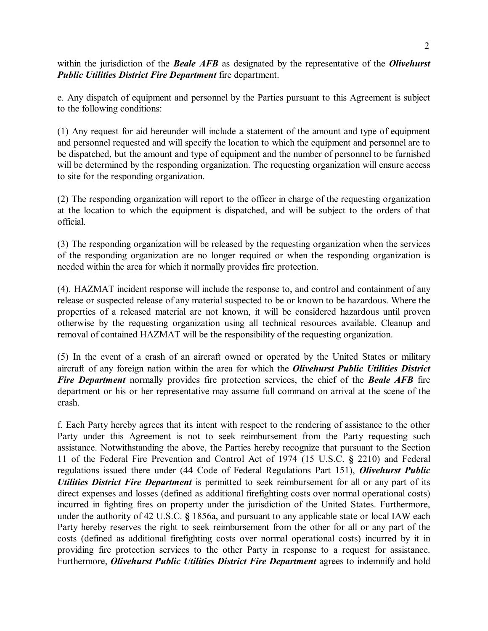within the jurisdiction of the *Beale AFB* as designated by the representative of the *Olivehurst Public Utilities District Fire Department* fire department.

e. Any dispatch of equipment and personnel by the Parties pursuant to this Agreement is subject to the following conditions:

(1) Any request for aid hereunder will include a statement of the amount and type of equipment and personnel requested and will specify the location to which the equipment and personnel are to be dispatched, but the amount and type of equipment and the number of personnel to be furnished will be determined by the responding organization. The requesting organization will ensure access to site for the responding organization.

(2) The responding organization will report to the officer in charge of the requesting organization at the location to which the equipment is dispatched, and will be subject to the orders of that official.

(3) The responding organization will be released by the requesting organization when the services of the responding organization are no longer required or when the responding organization is needed within the area for which it normally provides fire protection.

(4). HAZMAT incident response will include the response to, and control and containment of any release or suspected release of any material suspected to be or known to be hazardous. Where the properties of a released material are not known, it will be considered hazardous until proven otherwise by the requesting organization using all technical resources available. Cleanup and removal of contained HAZMAT will be the responsibility of the requesting organization.

(5) In the event of a crash of an aircraft owned or operated by the United States or military aircraft of any foreign nation within the area for which the *Olivehurst Public Utilities District Fire Department* normally provides fire protection services, the chief of the *Beale AFB* fire department or his or her representative may assume full command on arrival at the scene of the crash.

f. Each Party hereby agrees that its intent with respect to the rendering of assistance to the other Party under this Agreement is not to seek reimbursement from the Party requesting such assistance. Notwithstanding the above, the Parties hereby recognize that pursuant to the Section 11 of the Federal Fire Prevention and Control Act of 1974 (15 U.S.C. **§** 2210) and Federal regulations issued there under (44 Code of Federal Regulations Part 151), *Olivehurst Public Utilities District Fire Department* is permitted to seek reimbursement for all or any part of its direct expenses and losses (defined as additional firefighting costs over normal operational costs) incurred in fighting fires on property under the jurisdiction of the United States. Furthermore, under the authority of 42 U.S.C. **§** 1856a, and pursuant to any applicable state or local IAW each Party hereby reserves the right to seek reimbursement from the other for all or any part of the costs (defined as additional firefighting costs over normal operational costs) incurred by it in providing fire protection services to the other Party in response to a request for assistance. Furthermore, *Olivehurst Public Utilities District Fire Department* agrees to indemnify and hold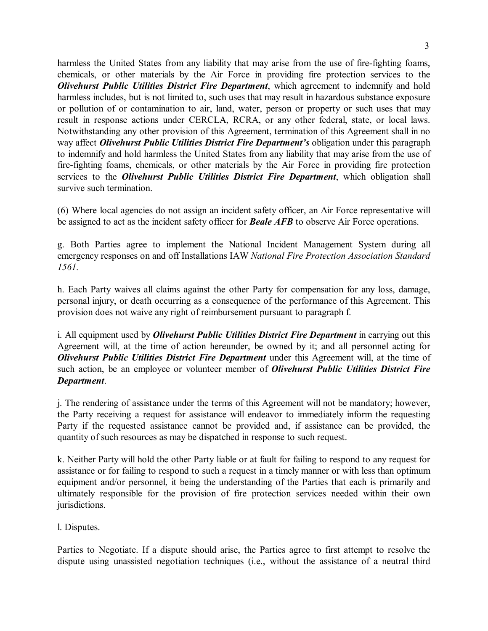harmless the United States from any liability that may arise from the use of fire-fighting foams, chemicals, or other materials by the Air Force in providing fire protection services to the *Olivehurst Public Utilities District Fire Department*, which agreement to indemnify and hold harmless includes, but is not limited to, such uses that may result in hazardous substance exposure or pollution of or contamination to air, land, water, person or property or such uses that may result in response actions under CERCLA, RCRA, or any other federal, state, or local laws. Notwithstanding any other provision of this Agreement, termination of this Agreement shall in no way affect *Olivehurst Public Utilities District Fire Department's* obligation under this paragraph to indemnify and hold harmless the United States from any liability that may arise from the use of fire-fighting foams, chemicals, or other materials by the Air Force in providing fire protection services to the *Olivehurst Public Utilities District Fire Department*, which obligation shall survive such termination.

(6) Where local agencies do not assign an incident safety officer, an Air Force representative will be assigned to act as the incident safety officer for *Beale AFB* to observe Air Force operations.

g. Both Parties agree to implement the National Incident Management System during all emergency responses on and off Installations IAW *National Fire Protection Association Standard 1561.* 

h. Each Party waives all claims against the other Party for compensation for any loss, damage, personal injury, or death occurring as a consequence of the performance of this Agreement. This provision does not waive any right of reimbursement pursuant to paragraph f.

i. All equipment used by *Olivehurst Public Utilities District Fire Department* in carrying out this Agreement will, at the time of action hereunder, be owned by it; and all personnel acting for *Olivehurst Public Utilities District Fire Department* under this Agreement will, at the time of such action, be an employee or volunteer member of *Olivehurst Public Utilities District Fire Department*.

j. The rendering of assistance under the terms of this Agreement will not be mandatory; however, the Party receiving a request for assistance will endeavor to immediately inform the requesting Party if the requested assistance cannot be provided and, if assistance can be provided, the quantity of such resources as may be dispatched in response to such request.

k. Neither Party will hold the other Party liable or at fault for failing to respond to any request for assistance or for failing to respond to such a request in a timely manner or with less than optimum equipment and/or personnel, it being the understanding of the Parties that each is primarily and ultimately responsible for the provision of fire protection services needed within their own jurisdictions.

l. Disputes.

Parties to Negotiate. If a dispute should arise, the Parties agree to first attempt to resolve the dispute using unassisted negotiation techniques (i.e., without the assistance of a neutral third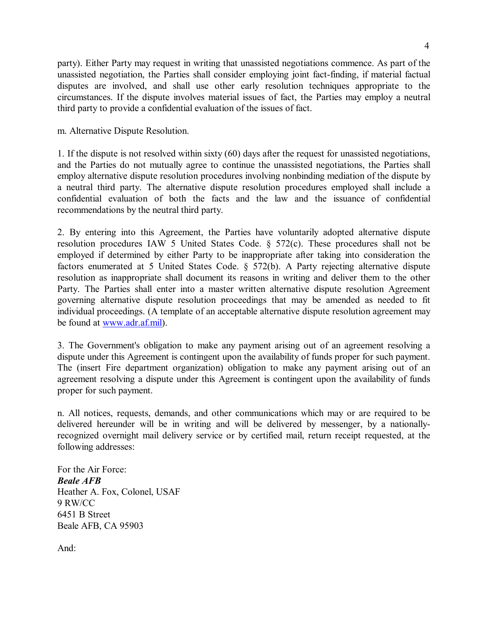party). Either Party may request in writing that unassisted negotiations commence. As part of the unassisted negotiation, the Parties shall consider employing joint fact-finding, if material factual disputes are involved, and shall use other early resolution techniques appropriate to the circumstances. If the dispute involves material issues of fact, the Parties may employ a neutral third party to provide a confidential evaluation of the issues of fact.

m. Alternative Dispute Resolution.

1. If the dispute is not resolved within sixty (60) days after the request for unassisted negotiations, and the Parties do not mutually agree to continue the unassisted negotiations, the Parties shall employ alternative dispute resolution procedures involving nonbinding mediation of the dispute by a neutral third party. The alternative dispute resolution procedures employed shall include a confidential evaluation of both the facts and the law and the issuance of confidential recommendations by the neutral third party.

2. By entering into this Agreement, the Parties have voluntarily adopted alternative dispute resolution procedures IAW 5 United States Code. § 572(c). These procedures shall not be employed if determined by either Party to be inappropriate after taking into consideration the factors enumerated at 5 United States Code. § 572(b). A Party rejecting alternative dispute resolution as inappropriate shall document its reasons in writing and deliver them to the other Party. The Parties shall enter into a master written alternative dispute resolution Agreement governing alternative dispute resolution proceedings that may be amended as needed to fit individual proceedings. (A template of an acceptable alternative dispute resolution agreement may be found at [www.adr.af.mil\)](http://www.adr.af.mil/).

3. The Government's obligation to make any payment arising out of an agreement resolving a dispute under this Agreement is contingent upon the availability of funds proper for such payment. The (insert Fire department organization) obligation to make any payment arising out of an agreement resolving a dispute under this Agreement is contingent upon the availability of funds proper for such payment.

n. All notices, requests, demands, and other communications which may or are required to be delivered hereunder will be in writing and will be delivered by messenger, by a nationallyrecognized overnight mail delivery service or by certified mail, return receipt requested, at the following addresses:

For the Air Force: *Beale AFB* Heather A. Fox, Colonel, USAF 9 RW/CC 6451 B Street Beale AFB, CA 95903

And: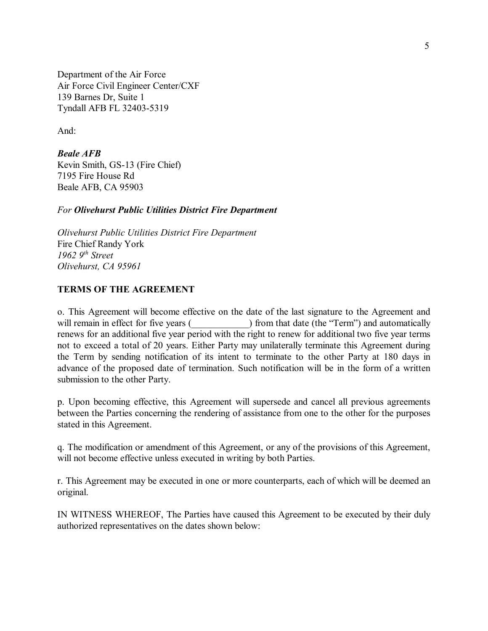Department of the Air Force Air Force Civil Engineer Center/CXF 139 Barnes Dr, Suite 1 Tyndall AFB FL 32403-5319

And:

*Beale AFB* Kevin Smith, GS-13 (Fire Chief) 7195 Fire House Rd Beale AFB, CA 95903

#### *For Olivehurst Public Utilities District Fire Department*

*Olivehurst Public Utilities District Fire Department* Fire Chief Randy York *1962 9th Street Olivehurst, CA 95961*

#### **TERMS OF THE AGREEMENT**

o. This Agreement will become effective on the date of the last signature to the Agreement and will remain in effect for five years (  $\blacksquare$  ) from that date (the "Term") and automatically renews for an additional five year period with the right to renew for additional two five year terms not to exceed a total of 20 years. Either Party may unilaterally terminate this Agreement during the Term by sending notification of its intent to terminate to the other Party at 180 days in advance of the proposed date of termination. Such notification will be in the form of a written submission to the other Party.

p. Upon becoming effective, this Agreement will supersede and cancel all previous agreements between the Parties concerning the rendering of assistance from one to the other for the purposes stated in this Agreement.

q. The modification or amendment of this Agreement, or any of the provisions of this Agreement, will not become effective unless executed in writing by both Parties.

r. This Agreement may be executed in one or more counterparts, each of which will be deemed an original.

IN WITNESS WHEREOF, The Parties have caused this Agreement to be executed by their duly authorized representatives on the dates shown below: